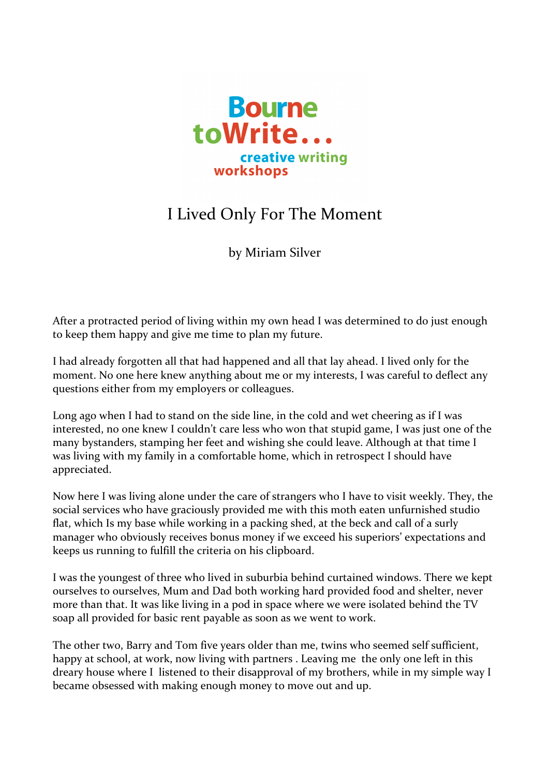

## I Lived Only For The Moment

by Miriam Silver

After a protracted period of living within my own head I was determined to do just enough to keep them happy and give me time to plan my future.

I had already forgotten all that had happened and all that lay ahead. I lived only for the moment. No one here knew anything about me or my interests, I was careful to deflect any questions either from my employers or colleagues.

Long ago when I had to stand on the side line, in the cold and wet cheering as if I was interested, no one knew I couldn't care less who won that stupid game, I was just one of the many bystanders, stamping her feet and wishing she could leave. Although at that time I was living with my family in a comfortable home, which in retrospect I should have appreciated.

Now here I was living alone under the care of strangers who I have to visit weekly. They, the social services who have graciously provided me with this moth eaten unfurnished studio flat, which Is my base while working in a packing shed, at the beck and call of a surly manager who obviously receives bonus money if we exceed his superiors' expectations and keeps us running to fulfill the criteria on his clipboard.

I was the youngest of three who lived in suburbia behind curtained windows. There we kept ourselves to ourselves, Mum and Dad both working hard provided food and shelter, never more than that. It was like living in a pod in space where we were isolated behind the TV soap all provided for basic rent payable as soon as we went to work.

The other two, Barry and Tom five years older than me, twins who seemed self sufficient, happy at school, at work, now living with partners. Leaving me the only one left in this dreary house where I listened to their disapproval of my brothers, while in my simple way I became obsessed with making enough money to move out and up.